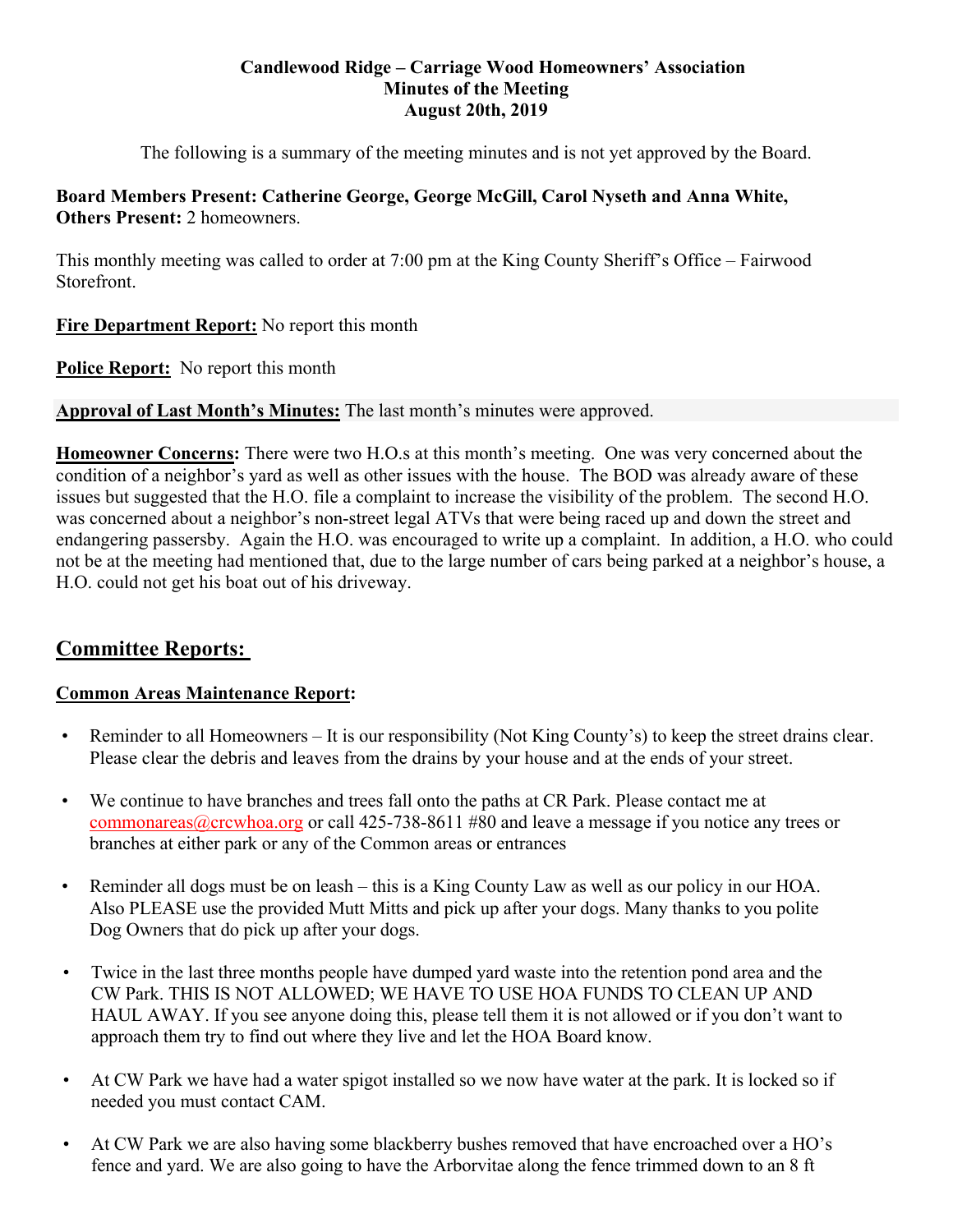#### **Candlewood Ridge – Carriage Wood Homeowners' Association Minutes of the Meeting August 20th, 2019**

The following is a summary of the meeting minutes and is not yet approved by the Board.

## **Board Members Present: Catherine George, George McGill, Carol Nyseth and Anna White, Others Present: 2 homeowners.**

This monthly meeting was called to order at 7:00 pm at the King County Sheriff's Office – Fairwood Storefront.

**Fire Department Report:** No report this month

**Police Report:** No report this month

**Approval of Last Month's Minutes:** The last month's minutes were approved.

**Homeowner Concerns:** There were two H.O.s at this month's meeting. One was very concerned about the condition of a neighbor's yard as well as other issues with the house. The BOD was already aware of these issues but suggested that the H.O. file a complaint to increase the visibility of the problem. The second H.O. was concerned about a neighbor's non-street legal ATVs that were being raced up and down the street and endangering passersby. Again the H.O. was encouraged to write up a complaint. In addition, a H.O. who could not be at the meeting had mentioned that, due to the large number of cars being parked at a neighbor's house, a H.O. could not get his boat out of his driveway.

# **Committee Reports:**

## **Common Areas Maintenance Report:**

- Reminder to all Homeowners It is our responsibility (Not King County's) to keep the street drains clear. Please clear the debris and leaves from the drains by your house and at the ends of your street.
- We continue to have branches and trees fall onto the paths at CR Park. Please contact me at commonareas@crcwhoa.org or call 425-738-8611 #80 and leave a message if you notice any trees or branches at either park or any of the Common areas or entrances
- Reminder all dogs must be on leash this is a King County Law as well as our policy in our HOA. Also PLEASE use the provided Mutt Mitts and pick up after your dogs. Many thanks to you polite Dog Owners that do pick up after your dogs.
- Twice in the last three months people have dumped yard waste into the retention pond area and the CW Park. THIS IS NOT ALLOWED; WE HAVE TO USE HOA FUNDS TO CLEAN UP AND HAUL AWAY. If you see anyone doing this, please tell them it is not allowed or if you don't want to approach them try to find out where they live and let the HOA Board know.
- At CW Park we have had a water spigot installed so we now have water at the park. It is locked so if needed you must contact CAM.
- At CW Park we are also having some blackberry bushes removed that have encroached over a HO's fence and yard. We are also going to have the Arborvitae along the fence trimmed down to an 8 ft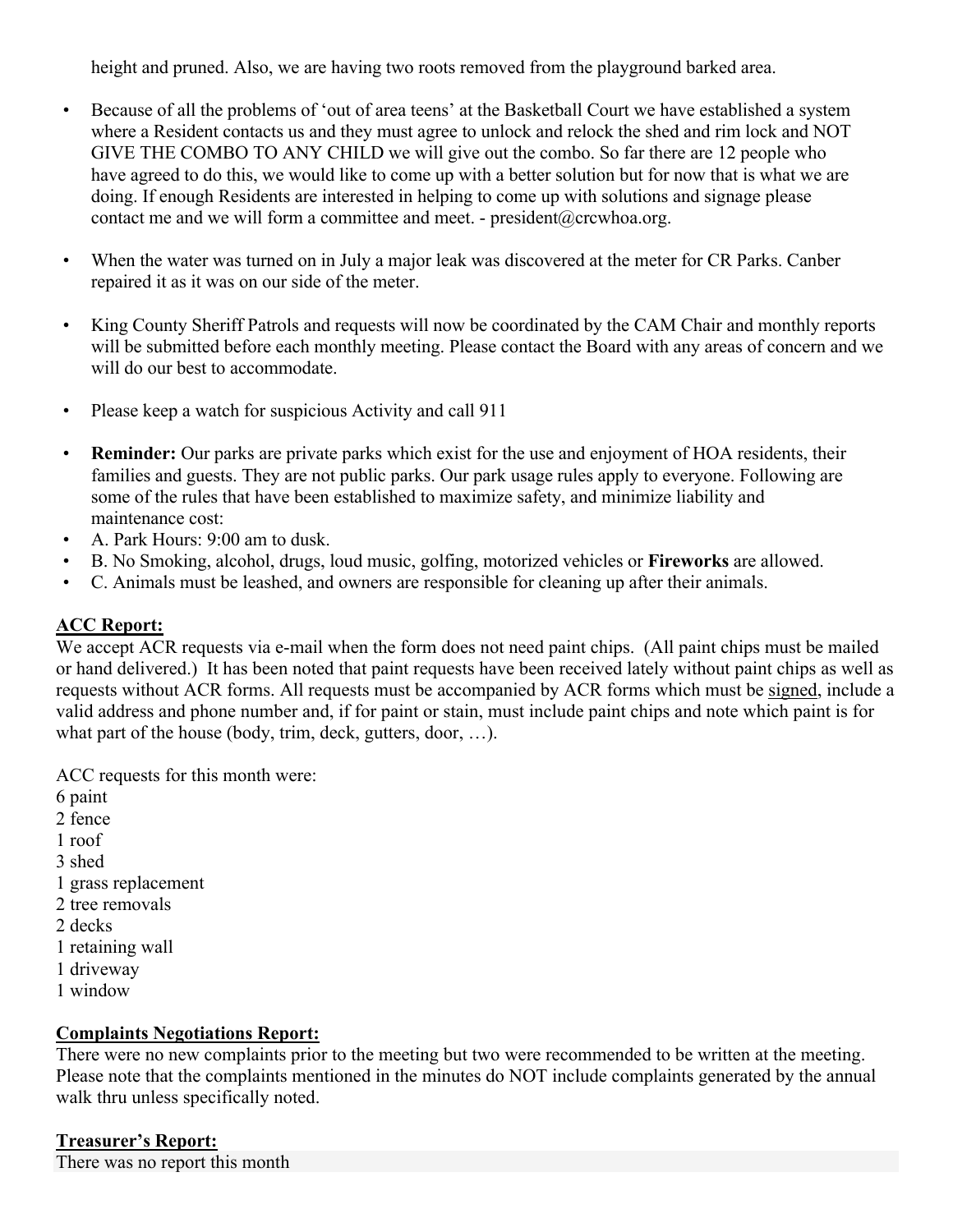height and pruned. Also, we are having two roots removed from the playground barked area.

- Because of all the problems of 'out of area teens' at the Basketball Court we have established a system where a Resident contacts us and they must agree to unlock and relock the shed and rim lock and NOT GIVE THE COMBO TO ANY CHILD we will give out the combo. So far there are 12 people who have agreed to do this, we would like to come up with a better solution but for now that is what we are doing. If enough Residents are interested in helping to come up with solutions and signage please contact me and we will form a committee and meet. - president@crcwhoa.org.
- When the water was turned on in July a major leak was discovered at the meter for CR Parks. Canber repaired it as it was on our side of the meter.
- King County Sheriff Patrols and requests will now be coordinated by the CAM Chair and monthly reports will be submitted before each monthly meeting. Please contact the Board with any areas of concern and we will do our best to accommodate.
- Please keep a watch for suspicious Activity and call 911
- **Reminder:** Our parks are private parks which exist for the use and enjoyment of HOA residents, their families and guests. They are not public parks. Our park usage rules apply to everyone. Following are some of the rules that have been established to maximize safety, and minimize liability and maintenance cost:
- A. Park Hours: 9:00 am to dusk.
- B. No Smoking, alcohol, drugs, loud music, golfing, motorized vehicles or **Fireworks** are allowed.
- C. Animals must be leashed, and owners are responsible for cleaning up after their animals.

## **ACC Report:**

We accept ACR requests via e-mail when the form does not need paint chips. (All paint chips must be mailed or hand delivered.) It has been noted that paint requests have been received lately without paint chips as well as requests without ACR forms. All requests must be accompanied by ACR forms which must be signed, include a valid address and phone number and, if for paint or stain, must include paint chips and note which paint is for what part of the house (body, trim, deck, gutters, door, ...).

ACC requests for this month were:

- 6 paint
- 2 fence
- 1 roof
- 3 shed
- 1 grass replacement
- 2 tree removals
- 2 decks
- 1 retaining wall
- 1 driveway
- 1 window

## **Complaints Negotiations Report:**

There were no new complaints prior to the meeting but two were recommended to be written at the meeting. Please note that the complaints mentioned in the minutes do NOT include complaints generated by the annual walk thru unless specifically noted.

## **Treasurer's Report:**

There was no report this month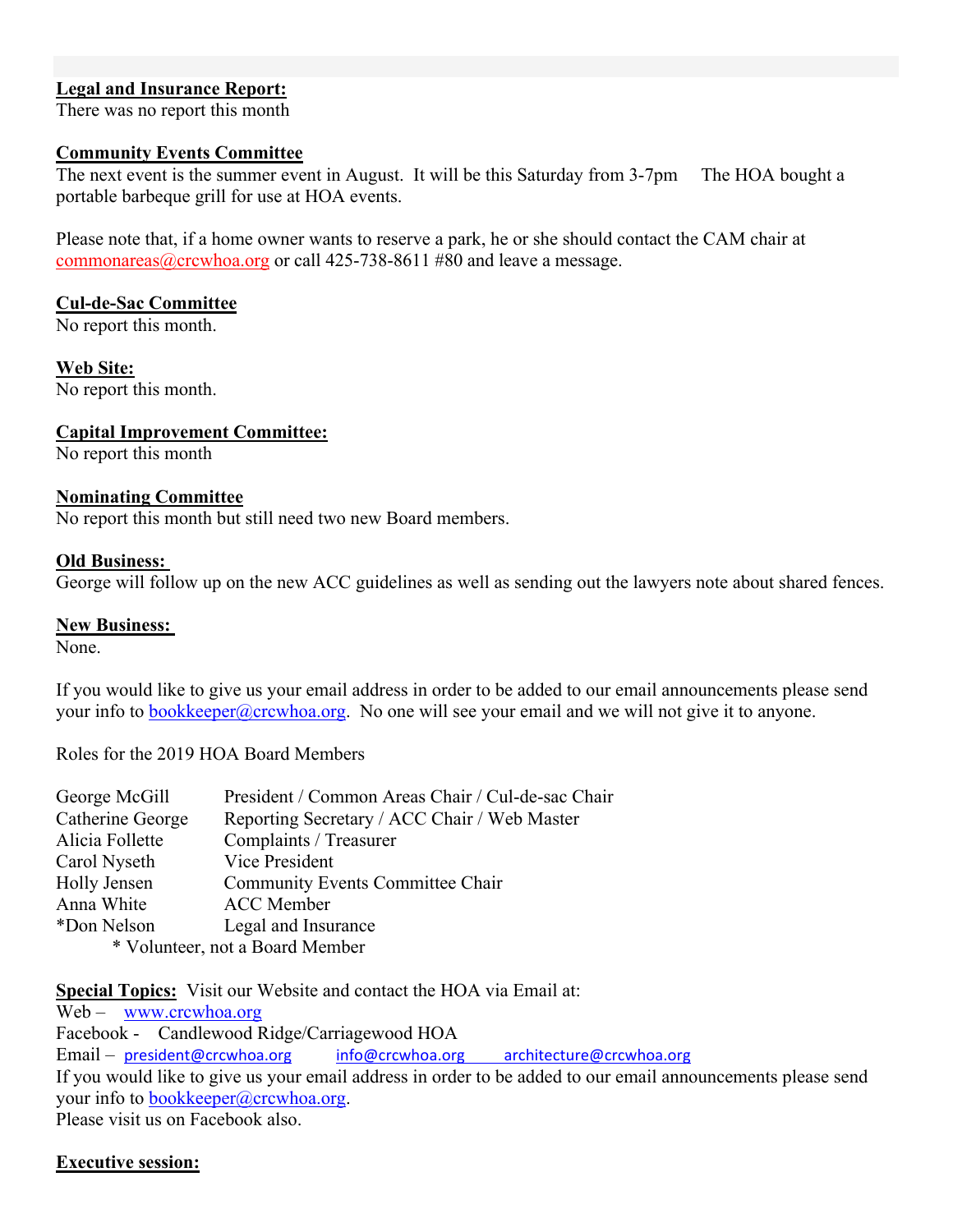## **Legal and Insurance Report:**

There was no report this month

#### **Community Events Committee**

The next event is the summer event in August. It will be this Saturday from 3-7pm The HOA bought a portable barbeque grill for use at HOA events.

Please note that, if a home owner wants to reserve a park, he or she should contact the CAM chair at commonareas@crcwhoa.org or call 425-738-8611 #80 and leave a message.

#### **Cul-de-Sac Committee**

No report this month.

**Web Site:**  No report this month.

### **Capital Improvement Committee:**

No report this month

#### **Nominating Committee**

No report this month but still need two new Board members.

#### **Old Business:**

George will follow up on the new ACC guidelines as well as sending out the lawyers note about shared fences.

#### **New Business:**

None.

If you would like to give us your email address in order to be added to our email announcements please send your info to bookkeeper@crcwhoa.org. No one will see your email and we will not give it to anyone.

Roles for the 2019 HOA Board Members

| George McGill    | President / Common Areas Chair / Cul-de-sac Chair |
|------------------|---------------------------------------------------|
| Catherine George | Reporting Secretary / ACC Chair / Web Master      |
| Alicia Follette  | Complaints / Treasurer                            |
| Carol Nyseth     | Vice President                                    |
| Holly Jensen     | <b>Community Events Committee Chair</b>           |
| Anna White       | <b>ACC</b> Member                                 |
| *Don Nelson      | Legal and Insurance                               |
|                  | * Volunteer, not a Board Member                   |
|                  |                                                   |

**Special Topics:** Visit our Website and contact the HOA via Email at:

Web – www.crcwhoa.org Facebook - Candlewood Ridge/Carriagewood HOA Email – president@crcwhoa.org info@crcwhoa.org architecture@crcwhoa.org If you would like to give us your email address in order to be added to our email announcements please send your info to bookkeeper@crcwhoa.org. Please visit us on Facebook also.

#### **Executive session:**